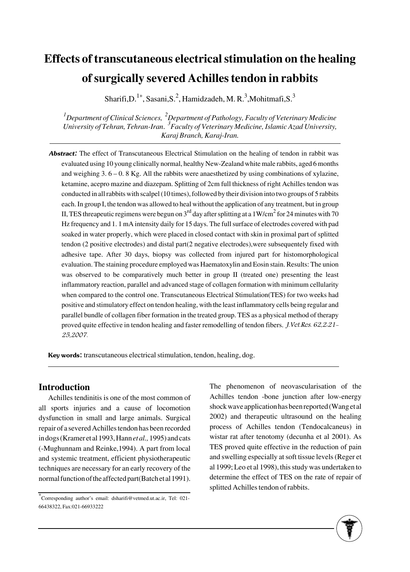# **Effects of transcutaneous electrical stimulation on the healing of surgically severed Achilles tendon in rabbits**

Sharifi, D.<sup>1\*</sup>, Sasani, S.<sup>2</sup>, Hamidzadeh, M. R.<sup>3</sup>, Mohitmafi, S.<sup>3</sup>

*1 Department of Clinical Sciences, <sup>2</sup> Department of Pathology, Faculty of Veterinary Medicine University of Tehran, Tehran-Iran*. *<sup>3</sup> Faculty of Veterinary Medicine, Islamic Azad University, Karaj Branch, Karaj-Iran.* 

Abstract: The effect of Transcutaneous Electrical Stimulation on the healing of tendon in rabbit was evaluated using 10 young clinically normal, healthy New-Zealand white male rabbits, aged 6 months and weighing 3. 6 – 0. 8 Kg. All the rabbits were anaesthetized by using combinations of xylazine, ketamine, acepro mazine and diazepam. Splitting of 2cm full thickness of right Achilles tendon was conducted in all rabbits with scalpel (10 times), followed by their division into two groups of 5 rabbits each. In group I, the tendon was allowed to heal without the application of any treatment, but in group II, TES threapeutic regimens were begun on 3<sup>rd</sup> day after splitting at a 1W/cm<sup>2</sup> for 24 minutes with 70 Hz frequency and 1. 1 mA intensity daily for 15 days. The full surface of electrodes covered with pad soaked in water properly, which were placed in closed contact with skin in proximal part of splitted tendon (2 positive electrodes) and distal part(2 negative electrodes),were subsequentely fixed with adhesive tape. After 30 days, biopsy was collected from injured part for histomorphological evaluation. The staining procedure employed was Haematoxylin and Eosin stain. Results: The union was observed to be comparatively much better in group II (treated one) presenting the least inflammatory reaction, parallel and advanced stage of collagen formation with minimum cellularity when compared to the control one. Transcutaneous Electrical Stimulation(TES) for two weeks had positive and stimulatory effect on tendon healing, with the least inflammatory cells being regular and parallel bundle of collagen fiber formation in the treated group. TES as a physical method of therapy proved quite effective in tendon healing and faster remodelling of tendon fibers. *J.Vet.Res. 62,2:21*-25,2007.

Key words: transcutaneous electrical stimulation, tendon, healing, dog.

# **Introduction**

Achilles tendinitis is one of the most common of all sports injuries and a cause of locomotion dysfunction in small and large animals. Surgical repair of a severed Achilles tendon has been recorded in dogs (Kramer et al 1993, Hann*et al.,*1995) and cats (-Mughunnam and Reinke,1994). A part from local and systemic treatment, efficient physiotherapeutic techniques are necessary for an early recovery of the normal function of the affected part(Batch et al 1991). The phenomenon of neovascularisation of the Achilles tendon -bone junction after low-energy shock wave application has been reported (Wang et al 2002) and therapeutic ultrasound on the healing process of Achilles tendon (Tendocalcaneus) in wistar rat after tenotomy (decunha et al 2001). As TES proved quite effective in the reduction of pain and swelling especially at soft tissue levels (Reger et al 1999; Leo et al 1998), this study was undertaken to determine the effect of TES on the rate of repair of splitted Achilles tendon of rabbits.



<sup>\*</sup>Corresponding author's email: dsharifi@vetmed.ut.ac.ir, Tel: 021- 66438322, Fax:021-66933222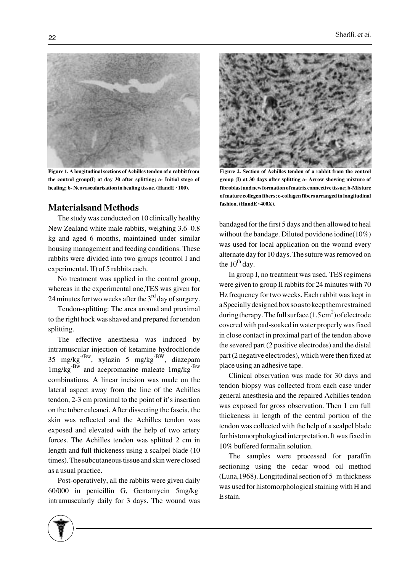

**Figure 1. A longitudinal sections of Achilles tendon of a rabbit from the control group(I) at day 30 after splitting; a- Initial stage of healing; b- Neovascularisation in healing tissue. (HandE** \* **100).**

# **Materialsand Methods**

The study was conducted on 10 clinically healthy New Zealand white male rabbits, weighing 3.6–0.8 kg and aged 6 months, maintained under similar housing management and feeding conditions. These rabbits were divided into two groups (control I and experimental, II) of 5 rabbits each.

No treatment was applied in the control group, whereas in the experimental one,TES was given for 24 minutes for two weeks after the  $3<sup>rd</sup>$  day of surgery.

Tendon-splitting: The area around and proximal to the right hock was shaved and prepared for tendon splitting.

The effective anesthesia was induced by intramuscular injection of ketamine hydrochloride  $35 \text{ mg/kg}^{-/Bw}$ , xylazin  $5 \text{ mg/kg}^{-Bw}$ , diazepam 1mg/kg-Bw and acepromazine maleate 1mg/kg-Bw combinations. A linear incision was made on the lateral aspect away from the line of the Achilles tendon, 2-3 cm proximal to the point of it's insertion on the tuber calcanei. After dissecting the fascia, the skin was reflected and the Achilles tendon was exposed and elevated with the help of two artery forces. The Achilles tendon was splitted 2 cm in length and full thickeness using a scalpel blade (10 times). The subcutaneous tissue and skin were closed as a usual practice.

Post-operatively, all the rabbits were given daily 60/000 iu penicillin G, Gentamycin 5mg/kgintramuscularly daily for 3 days. The wound was



**Figure 2. Section of Achilles tendon of a rabbit from the control group (I) at 30 days after splitting a- Arrow showing mixture of fibroblast andnew formation of matrix connective tissue; b-Mixture of mature collegen fibers; c-collagen fibers arranged in longitudinal fashion. (HandE** \* **400X).**

bandaged for the first 5 days and then allowed to heal without the bandage. Diluted povidone iodine(10%) was used for local application on the wound every alternate day for 10 days. The suture was removed on the  $10^{th}$  day.

In group I, no treatment was used. TES regimens were given to group II rabbits for 24 minutes with 70 Hz frequency for two weeks. Each rabbit was kept in a Specially designed box so as to keep them restrained during therapy. The full surface  $(1.5 \text{ cm}^2)$  of electrode covered with pad-soaked in water properly was fixed in close contact in proximal part of the tendon above the severed part (2 positive electrodes) and the distal part (2 negative electrodes), which were then fixed at place using an adhesive tape.

Clinical observation was made for 30 days and tendon biopsy was collected from each case under general anesthesia and the repaired Achilles tendon was exposed for gross observation. Then 1 cm full thickeness in length of the central portion of the tendon was collected with the help of a scalpel blade for histomorphological interpretation. It was fixed in 10% buffered formalin solution.

The samples were processed for paraffin sectioning using the cedar wood oil method (Luna,1968). Longitudinal section of 5 m thickness was used for histomorphological staining with H and E stain.

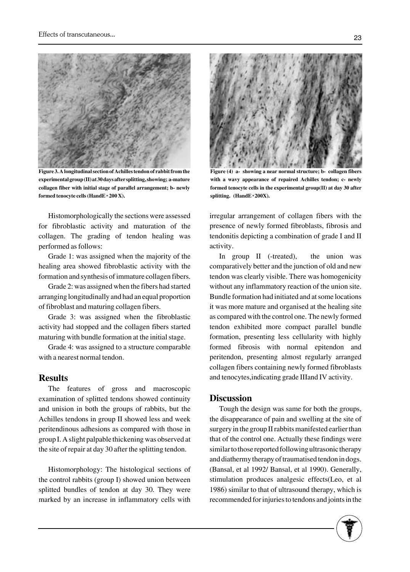

**Figure 3. A longitudinal section of Achilles tendon of rabbit from the experimental group (II) at 30 days after splitting, showing; a-mature collagen fiber with initial stage of parallel arrangement; b- newly formed tenocyte cells (HandE** \* **200 X).**

Histomorphologically the sections were assessed for fibroblastic activity and maturation of the collagen. The grading of tendon healing was performed as follows:

Grade 1: was assigned when the majority of the healing area showed fibroblastic activity with the formation and synthesis of immature collagen fibers.

Grade 2: was assigned when the fibers had started arranging longitudinally and had an equal proportion of fibroblast and maturing collagen fibers.

Grade 3: was assigned when the fibroblastic activity had stopped and the collagen fibers started maturing with bundle formation at the initial stage.

Grade 4: was assigned to a structure comparable with a nearest normal tendon.

# **Results**

The features of gross and macroscopic examination of splitted tendons showed continuity and unision in both the groups of rabbits, but the Achilles tendons in group II showed less and week peritendinous adhesions as compared with those in group I. A slight palpable thickening was observed at the site of repair at day 30 after the splitting tendon.

Histomorphology: The histological sections of the control rabbits (group I) showed union between splitted bundles of tendon at day 30. They were marked by an increase in inflammatory cells with



**Figure (4) a- showing a near normal structure; b- collagen fibers with a wavy appearance of repaired Achilles tendon; c- newly formed tenocyte cells in the experimental group(II) at day 30 after splitting. (HandE** \* **200X).**

irregular arrangement of collagen fibers with the presence of newly formed fibroblasts, fibrosis and tendonitis depicting a combination of grade I and II activity.

In group II (-treated), the union was comparatively better and the junction of old and new tendon was clearly visible. There was homogenicity without any inflammatory reaction of the union site. Bundle formation had initiated and at some locations it was more mature and organised at the healing site as compared with the control one. The newly formed tendon exhibited more compact parallel bundle formation, presenting less cellularity with highly formed fibrosis with normal epitendon and peritendon, presenting almost regularly arranged collagen fibers containing newly formed fibroblasts and tenocytes,indicating grade IIIand IV activity.

#### **Discussion**

Tough the design was same for both the groups, the disappearance of pain and swelling at the site of surgery in the group II rabbits manifested earlier than that of the control one. Actually these findings were similar to those reported following ultrasonic therapy and diathermy therapy of traumatised tendon in dogs. (Bansal, et al 1992/ Bansal, et al 1990). Generally, stimulation produces analgesic effects(Leo, et al 1986) similar to that of ultrasound therapy, which is recommended for injuries to tendons and joints in the

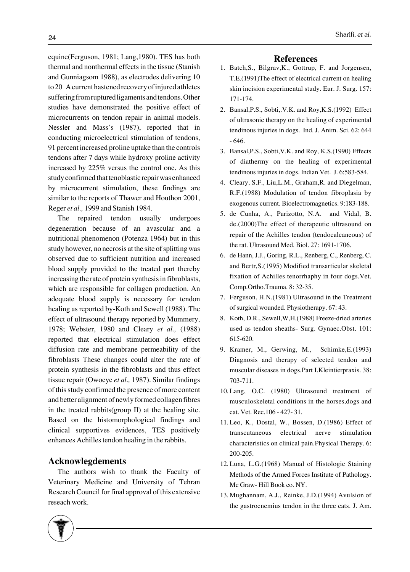equine(Ferguson, 1981; Lang,1980). TES has both thermal and nonthermal effects in the tissue (Stanish and Gunniagsom 1988), as electrodes delivering 10 to 20 A current hastened recovery of injured athletes suffering from ruptured ligaments and tendons. Other studies have demonstrated the positive effect of microcurrents on tendon repair in animal models. Nessler and Mass's (1987), reported that in conducting microelectrical stimulation of tendons, 91 percent increased proline uptake than the controls tendons after 7 days while hydroxy proline activity increased by 225% versus the control one. As this study confirmed that tenoblastic repair was enhanced by microcurrent stimulation, these findings are similar to the reports of Thawer and Houthon 2001, Reger *et al.,* 1999 and Stanish 1984.

The repaired tendon usually undergoes degeneration because of an avascular and a nutritional phenomenon (Potenza 1964) but in this study however, no necrosis at the site of splitting was observed due to sufficient nutrition and increased blood supply provided to the treated part thereby increasing the rate of protein synthesis in fibroblasts, which are responsible for collagen production. An adequate blood supply is necessary for tendon healing as reported by-Koth and Sewell (1988). The effect of ultrasound therapy reported by Mummery, 1978; Webster, 1980 and Cleary *et al.,* (1988) reported that electrical stimulation does effect diffusion rate and membrane permeability of the fibroblasts These changes could alter the rate of protein synthesis in the fibroblasts and thus effect tissue repair (Owoeye *et al.,* 1987). Similar findings of this study confirmed the presence of more content and better alignment of newly formed collagen fibres in the treated rabbits(group II) at the healing site. Based on the histomorphological findings and clinical supportives evidences, TES positively enhances Achilles tendon healing in the rabbits.

#### **Acknowlegdements**

The authors wish to thank the Faculty of Veterinary Medicine and University of Tehran Research Council for final approval of this extensive reseach work.

#### **References**

- 1. Batch, S., Bilgrav, K., Gottrup, F. and Jorgensen, T.E.(1991)The effect of electrical current on healing skin incision experimental study. Eur. J. Surg. 157: 171-174.
- 2. Bansal, P.S., Sobti, V.K. and Roy, K.S. (1992) Effect of ultrasonic therapy on the healing of experimental tendinous injuries in dogs. Ind. J. Anim. Sci. 62: 644 - 646.
- 3. Bansal, P.S., Sobti, V.K. and Roy, K.S. (1990) Effects of diathermy on the healing of experimental tendinous injuries in dogs. Indian Vet. J. 6:583-584.
- Cleary, S.F., Liu,L.M., Graham,R. and Diegelman, 4. R.F.(1988) Modulation of tendon fibroplasia by exogenous current. Bioelectromagnetics. 9:183-188.
- 5. de Cunha, A., Parizotto, N.A. and Vidal, B. de.(2000)The effect of therapeutic ultrasound on repair of the Achilles tendon (tendocalcaneous) of the rat. Ultrasound Med. Biol. 27: 1691-1706.
- 6. de Hann, J.J., Goring, R.L., Renberg, C., Renberg, C. and Bertr,S.(1995) Modified transarticular skeletal fixation of Achilles tenorrhaphy in four dogs.Vet. Comp.Ortho.Trauma. 8: 32-35.
- 7. Ferguson, H.N.(1981) Ultrasound in the Treatment of surgical wounded. Physiotherapy. 67: 43.
- 8. Koth, D.R., Sewell, W, H. (1988) Freeze-dried arteries used as tendon sheaths- Surg. Gynaec.Obst. 101: 615-620.
- 9. Kramer, M., Gerwing, M., Schimke, E. (1993) Diagnosis and therapy of selected tendon and muscular diseases in dogs.Part I.Kleintierpraxis. 38: 703-711.
- 10. Lang, O.C. (1980) Ultrasound treatment of musculoskeletal conditions in the horses,dogs and cat. Vet. Rec.106 - 427- 31.
- 11. Leo, K., Dostal, W., Bossen, D.(1986) Effect of transcutaneous electrical nerve stimulation characteristics on clinical pain.Physical Therapy. 6: 200-205.
- 12. Luna, L.G.(1968) Manual of Histologic Staining Methods of the Armed Forces Institute of Pathology. Mc Graw- Hill Book co. NY.
- 13. Mughannam, A.J., Reinke, J.D.(1994) Avulsion of the gastrocnemius tendon in the three cats. J. Am.